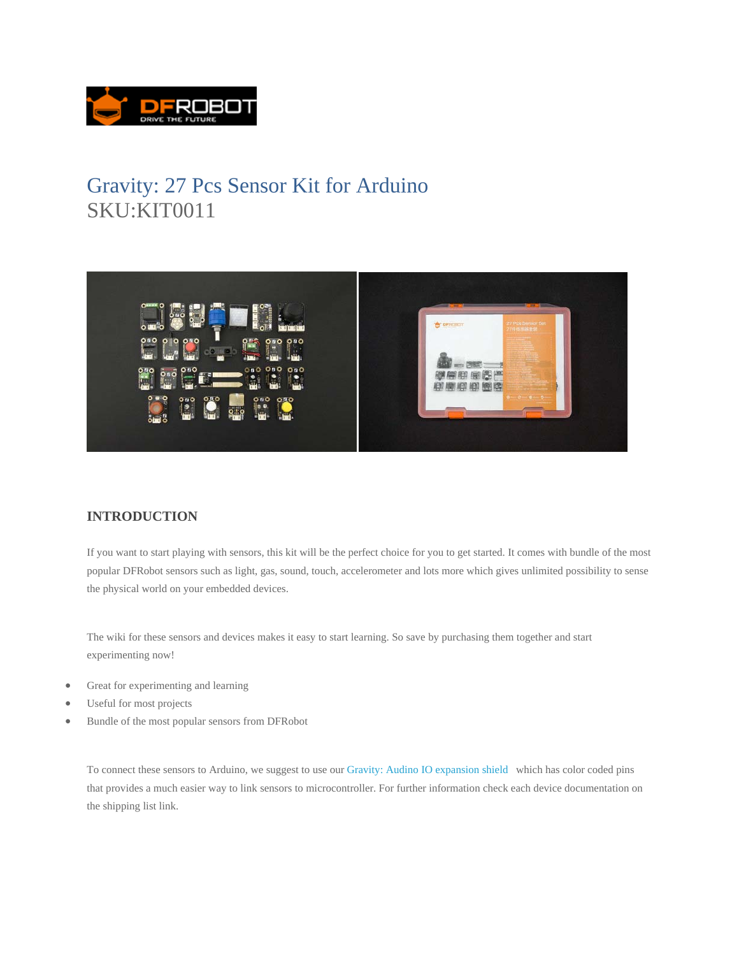

## Gravity: 27 Pcs Sensor Kit for Arduino SKU:KIT0011



## **INTRODUCTION**

If you want to start playing with sensors, this kit will be the perfect choice for you to get started. It comes with bundle of the most popular DFRobot sensors such as light, gas, sound, touch, accelerometer and lots more which gives unlimited possibility to sense the physical world on your embedded devices.

The wiki for these sensors and devices makes it easy to start learning. So save by purchasing them together and start experimenting now!

- Great for experimenting and learning
- Useful for most projects
- Bundle of the most popular sensors from DFRobot

To connect these sensors to Arduino, we suggest to use our Gravity: Audino IO expansion shield which has color coded pins that provides a much easier way to link sensors to microcontroller. For further information check each device documentation on the shipping list link.